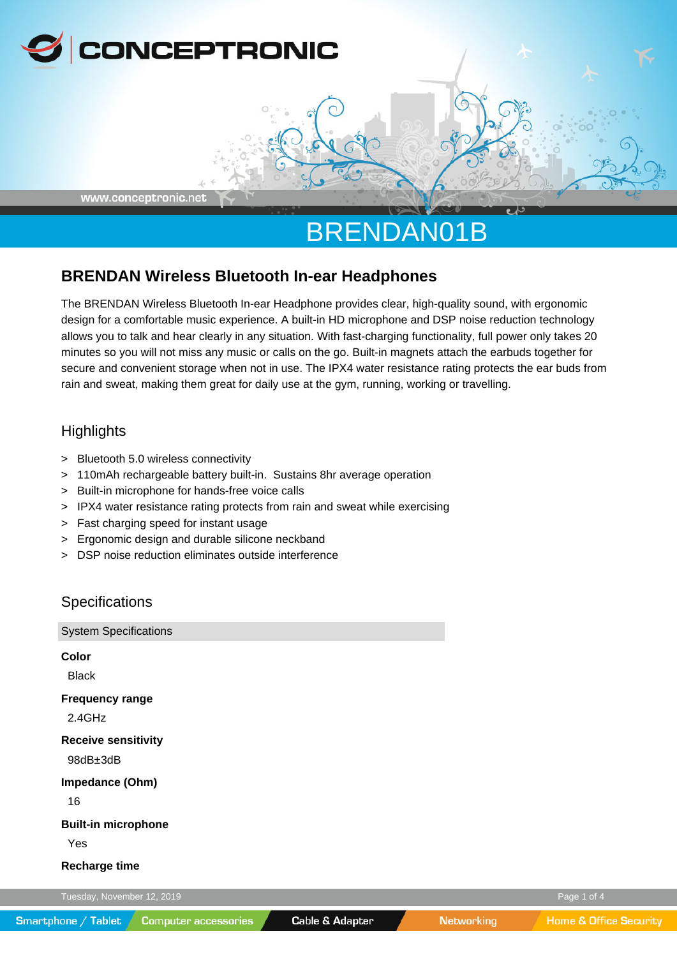

# BRENDAN01B

## **BRENDAN Wireless Bluetooth In-ear Headphones**

The BRENDAN Wireless Bluetooth In-ear Headphone provides clear, high-quality sound, with ergonomic design for a comfortable music experience. A built-in HD microphone and DSP noise reduction technology allows you to talk and hear clearly in any situation. With fast-charging functionality, full power only takes 20 minutes so you will not miss any music or calls on the go. Built-in magnets attach the earbuds together for secure and convenient storage when not in use. The IPX4 water resistance rating protects the ear buds from rain and sweat, making them great for daily use at the gym, running, working or travelling.

## **Highlights**

- > Bluetooth 5.0 wireless connectivity
- > 110mAh rechargeable battery built-in. Sustains 8hr average operation
- > Built-in microphone for hands-free voice calls
- > IPX4 water resistance rating protects from rain and sweat while exercising
- > Fast charging speed for instant usage
- > Ergonomic design and durable silicone neckband
- > DSP noise reduction eliminates outside interference

## **Specifications**

| <b>System Specifications</b>           |             |
|----------------------------------------|-------------|
| <b>Color</b><br><b>Black</b>           |             |
| <b>Frequency range</b><br>2.4GHz       |             |
| <b>Receive sensitivity</b><br>98dB±3dB |             |
| Impedance (Ohm)<br>16                  |             |
| <b>Built-in microphone</b><br>Yes      |             |
| <b>Recharge time</b>                   |             |
| Tuesday, November 12, 2019             | Page 1 of 4 |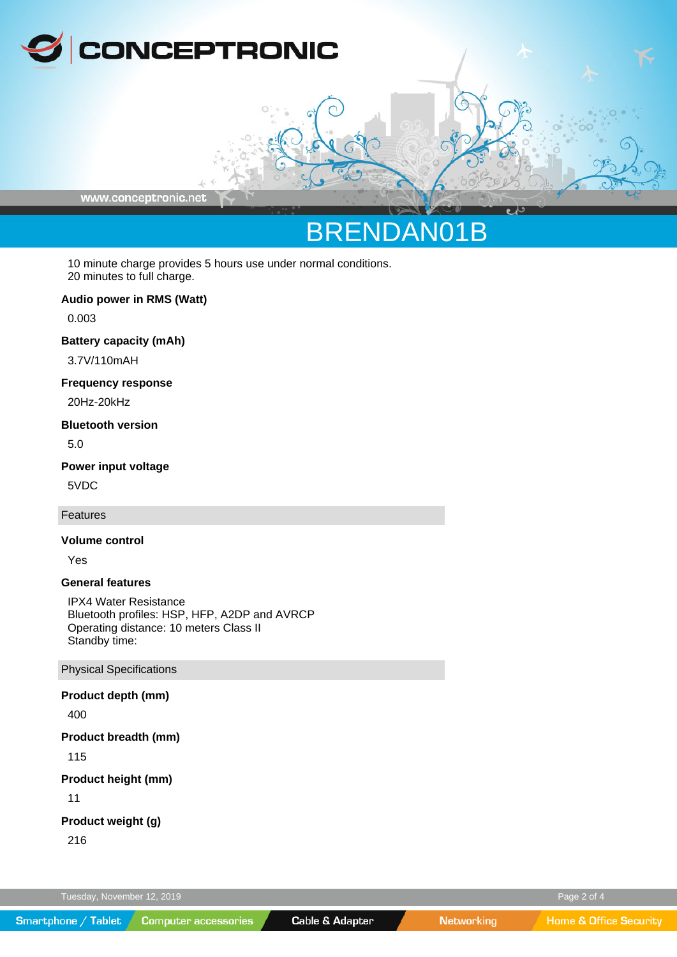

www.conceptronic.net

# BRENDAN01B

10 minute charge provides 5 hours use under normal conditions. 20 minutes to full charge.

#### **Audio power in RMS (Watt)**

0.003

#### **Battery capacity (mAh)**

3.7V/110mAH

### **Frequency response**

20Hz-20kHz

#### **Bluetooth version**

5.0

### **Power input voltage**

5VDC

#### Features

### **Volume control**

Yes

### **General features**

IPX4 Water Resistance Bluetooth profiles: HSP, HFP, A2DP and AVRCP Operating distance: 10 meters Class II Standby time:

## Physical Specifications

#### **Product depth (mm)**

400

#### **Product breadth (mm)**

115

### **Product height (mm)**

11

### **Product weight (g)**

216

Tuesday, November 12, 2019 Page 2 of 4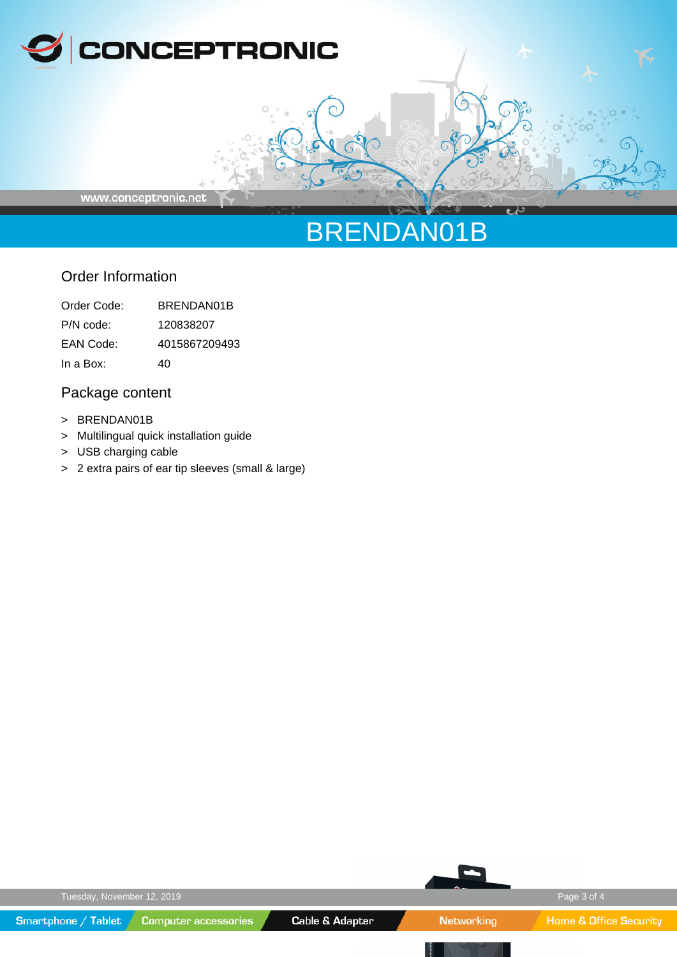

www.conceptronic.net

# BRENDAN01B

# Order Information

| Order Code: | BRENDAN01B    |
|-------------|---------------|
| P/N code:   | 120838207     |
| EAN Code:   | 4015867209493 |
| In a Box:   | 40            |

# Package content

- > BRENDAN01B
- > Multilingual quick installation guide
- > USB charging cable
- > 2 extra pairs of ear tip sleeves (small & large)